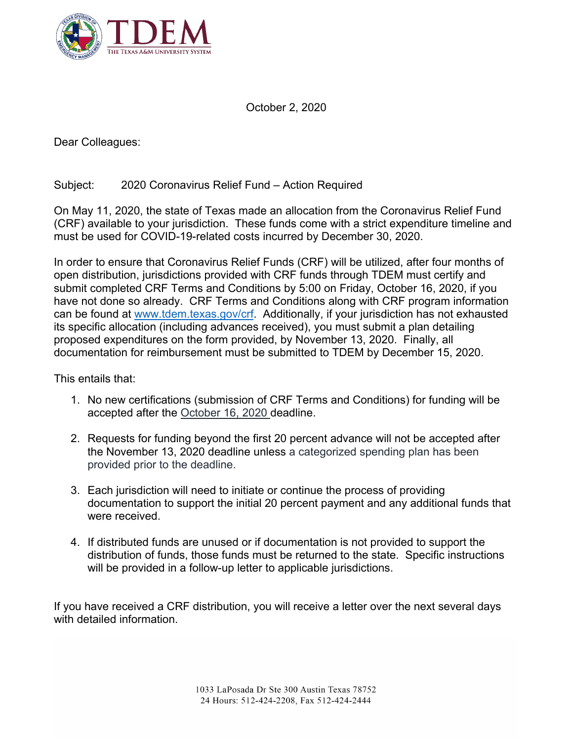

October 2, 2020

Dear Colleagues:

## Subject: 2020 Coronavirus Relief Fund – Action Required

On May 11, 2020, the state of Texas made an allocation from the Coronavirus Relief Fund (CRF) available to your jurisdiction. These funds come with a strict expenditure timeline and must be used for COVID-19-related costs incurred by December 30, 2020.

In order to ensure that Coronavirus Relief Funds (CRF) will be utilized, after four months of open distribution, jurisdictions provided with CRF funds through TDEM must certify and submit completed CRF Terms and Conditions by 5:00 on Friday, October 16, 2020, if you have not done so already. CRF Terms and Conditions along with CRF program information can be found at [www.tdem.texas.gov/crf.](http://www.tdem.texas.gov/crf) Additionally, if your jurisdiction has not exhausted its specific allocation (including advances received), you must submit a plan detailing proposed expenditures on the form provided, by November 13, 2020. Finally, all documentation for reimbursement must be submitted to TDEM by December 15, 2020.

This entails that:

- 1. No new certifications (submission of CRF Terms and Conditions) for funding will be accepted after the October 16, 2020 deadline.
- 2. Requests for funding beyond the first 20 percent advance will not be accepted after the November 13, 2020 deadline unless a categorized spending plan has been provided prior to the deadline.
- 3. Each jurisdiction will need to initiate or continue the process of providing documentation to support the initial 20 percent payment and any additional funds that were received.
- 4. If distributed funds are unused or if documentation is not provided to support the distribution of funds, those funds must be returned to the state. Specific instructions will be provided in a follow-up letter to applicable jurisdictions.

If you have received a CRF distribution, you will receive a letter over the next several days with detailed information.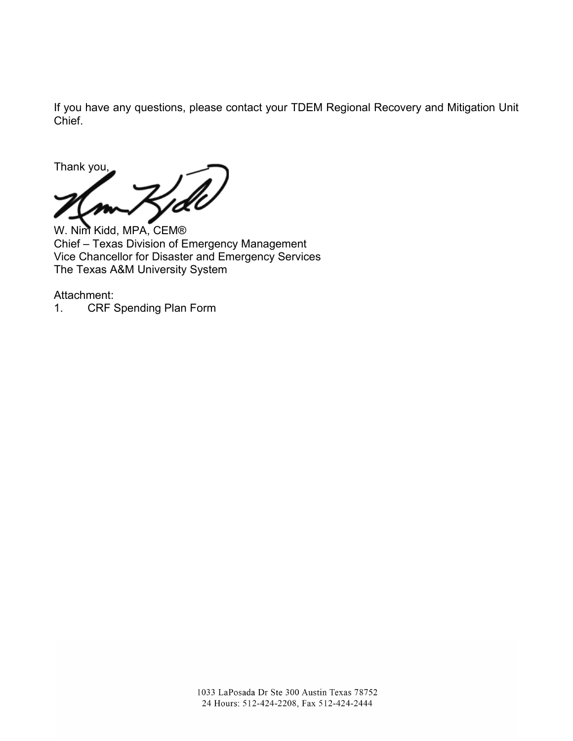If you have any questions, please contact your TDEM Regional Recovery and Mitigation Unit Chief.

Thank you,

W. Nim Kidd, MPA, CEM® Chief – Texas Division of Emergency Management Vice Chancellor for Disaster and Emergency Services The Texas A&M University System

Attachment:

1. CRF Spending Plan Form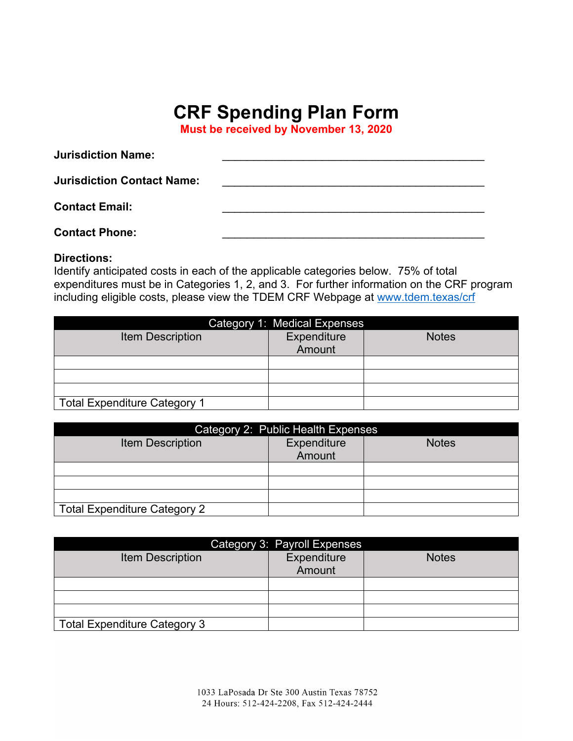## **CRF Spending Plan Form**

**Must be received by November 13, 2020**

| <b>Jurisdiction Name:</b>         |  |
|-----------------------------------|--|
| <b>Jurisdiction Contact Name:</b> |  |
| <b>Contact Email:</b>             |  |
| <b>Contact Phone:</b>             |  |

## **Directions:**

Identify anticipated costs in each of the applicable categories below. 75% of total expenditures must be in Categories 1, 2, and 3. For further information on the CRF program including eligible costs, please view the TDEM CRF Webpage at [www.tdem.texas/crf](http://www.tdem.texas/crf)

| Category 1: Medical Expenses        |                       |              |
|-------------------------------------|-----------------------|--------------|
| <b>Item Description</b>             | Expenditure<br>Amount | <b>Notes</b> |
|                                     |                       |              |
|                                     |                       |              |
|                                     |                       |              |
| <b>Total Expenditure Category 1</b> |                       |              |

| Category 2: Public Health Expenses  |                       |              |
|-------------------------------------|-----------------------|--------------|
| <b>Item Description</b>             | Expenditure<br>Amount | <b>Notes</b> |
|                                     |                       |              |
|                                     |                       |              |
|                                     |                       |              |
| <b>Total Expenditure Category 2</b> |                       |              |

| Category 3: Payroll Expenses        |                       |              |  |
|-------------------------------------|-----------------------|--------------|--|
| <b>Item Description</b>             | Expenditure<br>Amount | <b>Notes</b> |  |
|                                     |                       |              |  |
|                                     |                       |              |  |
|                                     |                       |              |  |
| <b>Total Expenditure Category 3</b> |                       |              |  |